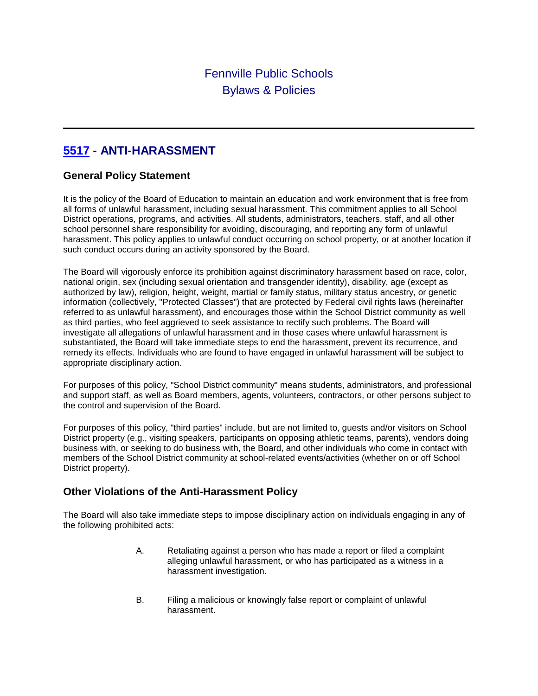# **[5517](http://www.neola.com/fennville-mi/search/ag/ag5517.htm) - ANTI-HARASSMENT**

### **General Policy Statement**

It is the policy of the Board of Education to maintain an education and work environment that is free from all forms of unlawful harassment, including sexual harassment. This commitment applies to all School District operations, programs, and activities. All students, administrators, teachers, staff, and all other school personnel share responsibility for avoiding, discouraging, and reporting any form of unlawful harassment. This policy applies to unlawful conduct occurring on school property, or at another location if such conduct occurs during an activity sponsored by the Board.

The Board will vigorously enforce its prohibition against discriminatory harassment based on race, color, national origin, sex (including sexual orientation and transgender identity), disability, age (except as authorized by law), religion, height, weight, martial or family status, military status ancestry, or genetic information (collectively, "Protected Classes") that are protected by Federal civil rights laws (hereinafter referred to as unlawful harassment), and encourages those within the School District community as well as third parties, who feel aggrieved to seek assistance to rectify such problems. The Board will investigate all allegations of unlawful harassment and in those cases where unlawful harassment is substantiated, the Board will take immediate steps to end the harassment, prevent its recurrence, and remedy its effects. Individuals who are found to have engaged in unlawful harassment will be subject to appropriate disciplinary action.

For purposes of this policy, "School District community" means students, administrators, and professional and support staff, as well as Board members, agents, volunteers, contractors, or other persons subject to the control and supervision of the Board.

For purposes of this policy, "third parties" include, but are not limited to, guests and/or visitors on School District property (e.g., visiting speakers, participants on opposing athletic teams, parents), vendors doing business with, or seeking to do business with, the Board, and other individuals who come in contact with members of the School District community at school-related events/activities (whether on or off School District property).

### **Other Violations of the Anti-Harassment Policy**

The Board will also take immediate steps to impose disciplinary action on individuals engaging in any of the following prohibited acts:

- A. Retaliating against a person who has made a report or filed a complaint alleging unlawful harassment, or who has participated as a witness in a harassment investigation.
- B. Filing a malicious or knowingly false report or complaint of unlawful harassment.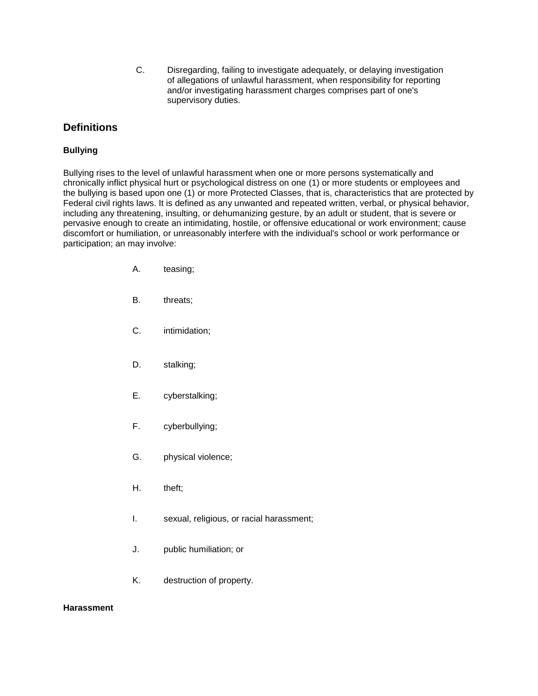C. Disregarding, failing to investigate adequately, or delaying investigation of allegations of unlawful harassment, when responsibility for reporting and/or investigating harassment charges comprises part of one's supervisory duties.

#### **Definitions**

#### **Bullying**

Bullying rises to the level of unlawful harassment when one or more persons systematically and chronically inflict physical hurt or psychological distress on one (1) or more students or employees and the bullying is based upon one (1) or more Protected Classes, that is, characteristics that are protected by Federal civil rights laws. It is defined as any unwanted and repeated written, verbal, or physical behavior, including any threatening, insulting, or dehumanizing gesture, by an adult or student, that is severe or pervasive enough to create an intimidating, hostile, or offensive educational or work environment; cause discomfort or humiliation, or unreasonably interfere with the individual's school or work performance or participation; an may involve:

- A. teasing;
- B. threats;
- C. intimidation;
- D. stalking;
- E. cyberstalking;
- F. cyberbullying;
- G. physical violence;
- H. theft;
- I. sexual, religious, or racial harassment;
- J. public humiliation; or
- K. destruction of property.

#### **Harassment**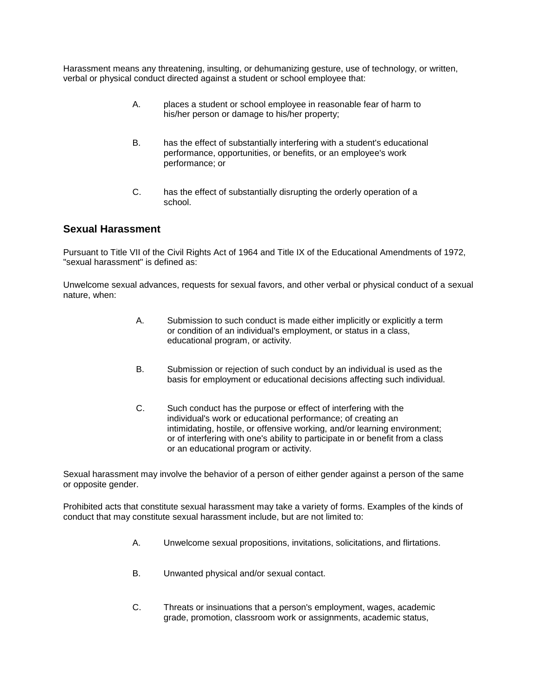Harassment means any threatening, insulting, or dehumanizing gesture, use of technology, or written, verbal or physical conduct directed against a student or school employee that:

- A. places a student or school employee in reasonable fear of harm to his/her person or damage to his/her property;
- B. has the effect of substantially interfering with a student's educational performance, opportunities, or benefits, or an employee's work performance; or
- C. has the effect of substantially disrupting the orderly operation of a school.

#### **Sexual Harassment**

Pursuant to Title VII of the Civil Rights Act of 1964 and Title IX of the Educational Amendments of 1972, "sexual harassment" is defined as:

Unwelcome sexual advances, requests for sexual favors, and other verbal or physical conduct of a sexual nature, when:

- A. Submission to such conduct is made either implicitly or explicitly a term or condition of an individual's employment, or status in a class, educational program, or activity.
- B. Submission or rejection of such conduct by an individual is used as the basis for employment or educational decisions affecting such individual.
- C. Such conduct has the purpose or effect of interfering with the individual's work or educational performance; of creating an intimidating, hostile, or offensive working, and/or learning environment; or of interfering with one's ability to participate in or benefit from a class or an educational program or activity.

Sexual harassment may involve the behavior of a person of either gender against a person of the same or opposite gender.

Prohibited acts that constitute sexual harassment may take a variety of forms. Examples of the kinds of conduct that may constitute sexual harassment include, but are not limited to:

- A. Unwelcome sexual propositions, invitations, solicitations, and flirtations.
- B. Unwanted physical and/or sexual contact.
- C. Threats or insinuations that a person's employment, wages, academic grade, promotion, classroom work or assignments, academic status,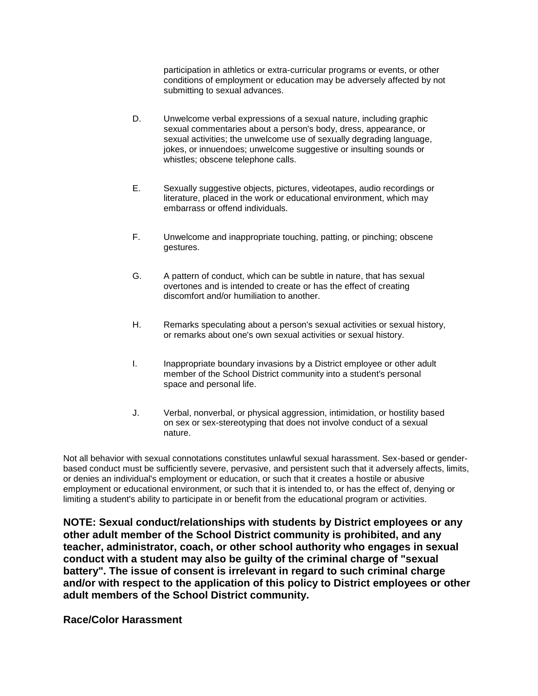participation in athletics or extra-curricular programs or events, or other conditions of employment or education may be adversely affected by not submitting to sexual advances.

- D. Unwelcome verbal expressions of a sexual nature, including graphic sexual commentaries about a person's body, dress, appearance, or sexual activities; the unwelcome use of sexually degrading language, jokes, or innuendoes; unwelcome suggestive or insulting sounds or whistles; obscene telephone calls.
- E. Sexually suggestive objects, pictures, videotapes, audio recordings or literature, placed in the work or educational environment, which may embarrass or offend individuals.
- F. Unwelcome and inappropriate touching, patting, or pinching; obscene gestures.
- G. A pattern of conduct, which can be subtle in nature, that has sexual overtones and is intended to create or has the effect of creating discomfort and/or humiliation to another.
- H. Remarks speculating about a person's sexual activities or sexual history, or remarks about one's own sexual activities or sexual history.
- I. Inappropriate boundary invasions by a District employee or other adult member of the School District community into a student's personal space and personal life.
- J. Verbal, nonverbal, or physical aggression, intimidation, or hostility based on sex or sex-stereotyping that does not involve conduct of a sexual nature.

Not all behavior with sexual connotations constitutes unlawful sexual harassment. Sex-based or genderbased conduct must be sufficiently severe, pervasive, and persistent such that it adversely affects, limits, or denies an individual's employment or education, or such that it creates a hostile or abusive employment or educational environment, or such that it is intended to, or has the effect of, denying or limiting a student's ability to participate in or benefit from the educational program or activities.

**NOTE: Sexual conduct/relationships with students by District employees or any other adult member of the School District community is prohibited, and any teacher, administrator, coach, or other school authority who engages in sexual conduct with a student may also be guilty of the criminal charge of "sexual battery". The issue of consent is irrelevant in regard to such criminal charge and/or with respect to the application of this policy to District employees or other adult members of the School District community.**

**Race/Color Harassment**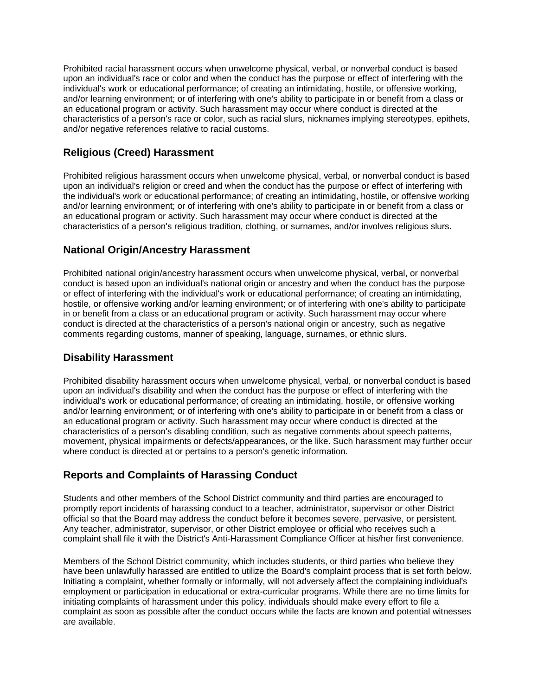Prohibited racial harassment occurs when unwelcome physical, verbal, or nonverbal conduct is based upon an individual's race or color and when the conduct has the purpose or effect of interfering with the individual's work or educational performance; of creating an intimidating, hostile, or offensive working, and/or learning environment; or of interfering with one's ability to participate in or benefit from a class or an educational program or activity. Such harassment may occur where conduct is directed at the characteristics of a person's race or color, such as racial slurs, nicknames implying stereotypes, epithets, and/or negative references relative to racial customs.

### **Religious (Creed) Harassment**

Prohibited religious harassment occurs when unwelcome physical, verbal, or nonverbal conduct is based upon an individual's religion or creed and when the conduct has the purpose or effect of interfering with the individual's work or educational performance; of creating an intimidating, hostile, or offensive working and/or learning environment; or of interfering with one's ability to participate in or benefit from a class or an educational program or activity. Such harassment may occur where conduct is directed at the characteristics of a person's religious tradition, clothing, or surnames, and/or involves religious slurs.

### **National Origin/Ancestry Harassment**

Prohibited national origin/ancestry harassment occurs when unwelcome physical, verbal, or nonverbal conduct is based upon an individual's national origin or ancestry and when the conduct has the purpose or effect of interfering with the individual's work or educational performance; of creating an intimidating, hostile, or offensive working and/or learning environment; or of interfering with one's ability to participate in or benefit from a class or an educational program or activity. Such harassment may occur where conduct is directed at the characteristics of a person's national origin or ancestry, such as negative comments regarding customs, manner of speaking, language, surnames, or ethnic slurs.

### **Disability Harassment**

Prohibited disability harassment occurs when unwelcome physical, verbal, or nonverbal conduct is based upon an individual's disability and when the conduct has the purpose or effect of interfering with the individual's work or educational performance; of creating an intimidating, hostile, or offensive working and/or learning environment; or of interfering with one's ability to participate in or benefit from a class or an educational program or activity. Such harassment may occur where conduct is directed at the characteristics of a person's disabling condition, such as negative comments about speech patterns, movement, physical impairments or defects/appearances, or the like. Such harassment may further occur where conduct is directed at or pertains to a person's genetic information.

## **Reports and Complaints of Harassing Conduct**

Students and other members of the School District community and third parties are encouraged to promptly report incidents of harassing conduct to a teacher, administrator, supervisor or other District official so that the Board may address the conduct before it becomes severe, pervasive, or persistent. Any teacher, administrator, supervisor, or other District employee or official who receives such a complaint shall file it with the District's Anti-Harassment Compliance Officer at his/her first convenience.

Members of the School District community, which includes students, or third parties who believe they have been unlawfully harassed are entitled to utilize the Board's complaint process that is set forth below. Initiating a complaint, whether formally or informally, will not adversely affect the complaining individual's employment or participation in educational or extra-curricular programs. While there are no time limits for initiating complaints of harassment under this policy, individuals should make every effort to file a complaint as soon as possible after the conduct occurs while the facts are known and potential witnesses are available.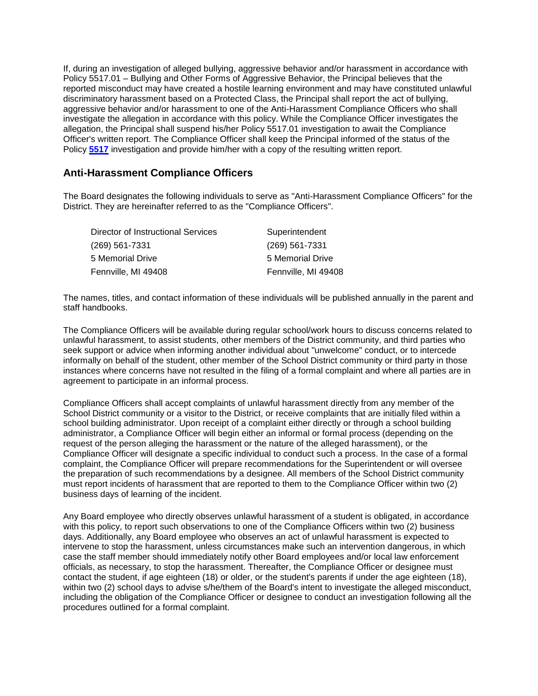If, during an investigation of alleged bullying, aggressive behavior and/or harassment in accordance with Policy 5517.01 – Bullying and Other Forms of Aggressive Behavior, the Principal believes that the reported misconduct may have created a hostile learning environment and may have constituted unlawful discriminatory harassment based on a Protected Class, the Principal shall report the act of bullying, aggressive behavior and/or harassment to one of the Anti-Harassment Compliance Officers who shall investigate the allegation in accordance with this policy. While the Compliance Officer investigates the allegation, the Principal shall suspend his/her Policy 5517.01 investigation to await the Compliance Officer's written report. The Compliance Officer shall keep the Principal informed of the status of the Policy **[5517](http://www.neola.com/fennville-mi/search/policies/po5517.htm)** investigation and provide him/her with a copy of the resulting written report.

#### **Anti-Harassment Compliance Officers**

The Board designates the following individuals to serve as "Anti-Harassment Compliance Officers" for the District. They are hereinafter referred to as the "Compliance Officers".

| Director of Instructional Services | Superintendent      |
|------------------------------------|---------------------|
| (269) 561-7331                     | $(269)$ 561-7331    |
| 5 Memorial Drive                   | 5 Memorial Drive    |
| Fennville, MI 49408                | Fennville, MI 49408 |

The names, titles, and contact information of these individuals will be published annually in the parent and staff handbooks.

The Compliance Officers will be available during regular school/work hours to discuss concerns related to unlawful harassment, to assist students, other members of the District community, and third parties who seek support or advice when informing another individual about "unwelcome" conduct, or to intercede informally on behalf of the student, other member of the School District community or third party in those instances where concerns have not resulted in the filing of a formal complaint and where all parties are in agreement to participate in an informal process.

Compliance Officers shall accept complaints of unlawful harassment directly from any member of the School District community or a visitor to the District, or receive complaints that are initially filed within a school building administrator. Upon receipt of a complaint either directly or through a school building administrator, a Compliance Officer will begin either an informal or formal process (depending on the request of the person alleging the harassment or the nature of the alleged harassment), or the Compliance Officer will designate a specific individual to conduct such a process. In the case of a formal complaint, the Compliance Officer will prepare recommendations for the Superintendent or will oversee the preparation of such recommendations by a designee. All members of the School District community must report incidents of harassment that are reported to them to the Compliance Officer within two (2) business days of learning of the incident.

Any Board employee who directly observes unlawful harassment of a student is obligated, in accordance with this policy, to report such observations to one of the Compliance Officers within two (2) business days. Additionally, any Board employee who observes an act of unlawful harassment is expected to intervene to stop the harassment, unless circumstances make such an intervention dangerous, in which case the staff member should immediately notify other Board employees and/or local law enforcement officials, as necessary, to stop the harassment. Thereafter, the Compliance Officer or designee must contact the student, if age eighteen (18) or older, or the student's parents if under the age eighteen (18), within two (2) school days to advise s/he/them of the Board's intent to investigate the alleged misconduct, including the obligation of the Compliance Officer or designee to conduct an investigation following all the procedures outlined for a formal complaint.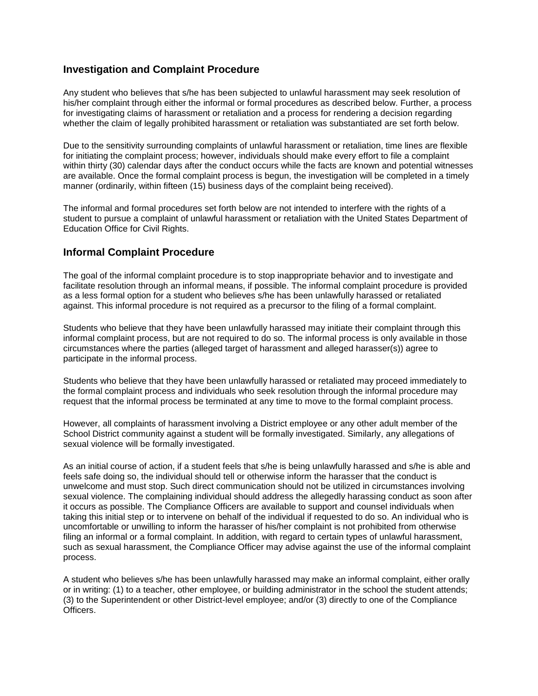#### **Investigation and Complaint Procedure**

Any student who believes that s/he has been subjected to unlawful harassment may seek resolution of his/her complaint through either the informal or formal procedures as described below. Further, a process for investigating claims of harassment or retaliation and a process for rendering a decision regarding whether the claim of legally prohibited harassment or retaliation was substantiated are set forth below.

Due to the sensitivity surrounding complaints of unlawful harassment or retaliation, time lines are flexible for initiating the complaint process; however, individuals should make every effort to file a complaint within thirty (30) calendar days after the conduct occurs while the facts are known and potential witnesses are available. Once the formal complaint process is begun, the investigation will be completed in a timely manner (ordinarily, within fifteen (15) business days of the complaint being received).

The informal and formal procedures set forth below are not intended to interfere with the rights of a student to pursue a complaint of unlawful harassment or retaliation with the United States Department of Education Office for Civil Rights.

#### **Informal Complaint Procedure**

The goal of the informal complaint procedure is to stop inappropriate behavior and to investigate and facilitate resolution through an informal means, if possible. The informal complaint procedure is provided as a less formal option for a student who believes s/he has been unlawfully harassed or retaliated against. This informal procedure is not required as a precursor to the filing of a formal complaint.

Students who believe that they have been unlawfully harassed may initiate their complaint through this informal complaint process, but are not required to do so. The informal process is only available in those circumstances where the parties (alleged target of harassment and alleged harasser(s)) agree to participate in the informal process.

Students who believe that they have been unlawfully harassed or retaliated may proceed immediately to the formal complaint process and individuals who seek resolution through the informal procedure may request that the informal process be terminated at any time to move to the formal complaint process.

However, all complaints of harassment involving a District employee or any other adult member of the School District community against a student will be formally investigated. Similarly, any allegations of sexual violence will be formally investigated.

As an initial course of action, if a student feels that s/he is being unlawfully harassed and s/he is able and feels safe doing so, the individual should tell or otherwise inform the harasser that the conduct is unwelcome and must stop. Such direct communication should not be utilized in circumstances involving sexual violence. The complaining individual should address the allegedly harassing conduct as soon after it occurs as possible. The Compliance Officers are available to support and counsel individuals when taking this initial step or to intervene on behalf of the individual if requested to do so. An individual who is uncomfortable or unwilling to inform the harasser of his/her complaint is not prohibited from otherwise filing an informal or a formal complaint. In addition, with regard to certain types of unlawful harassment, such as sexual harassment, the Compliance Officer may advise against the use of the informal complaint process.

A student who believes s/he has been unlawfully harassed may make an informal complaint, either orally or in writing: (1) to a teacher, other employee, or building administrator in the school the student attends; (3) to the Superintendent or other District-level employee; and/or (3) directly to one of the Compliance Officers.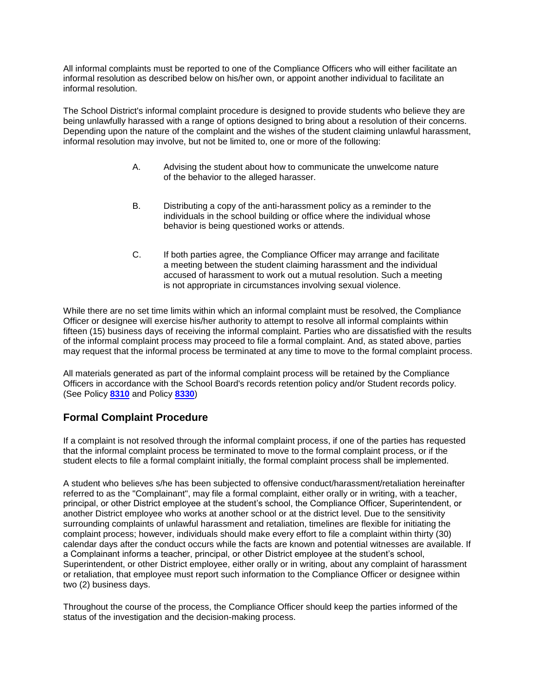All informal complaints must be reported to one of the Compliance Officers who will either facilitate an informal resolution as described below on his/her own, or appoint another individual to facilitate an informal resolution.

The School District's informal complaint procedure is designed to provide students who believe they are being unlawfully harassed with a range of options designed to bring about a resolution of their concerns. Depending upon the nature of the complaint and the wishes of the student claiming unlawful harassment, informal resolution may involve, but not be limited to, one or more of the following:

- A. Advising the student about how to communicate the unwelcome nature of the behavior to the alleged harasser.
- B. Distributing a copy of the anti-harassment policy as a reminder to the individuals in the school building or office where the individual whose behavior is being questioned works or attends.
- C. If both parties agree, the Compliance Officer may arrange and facilitate a meeting between the student claiming harassment and the individual accused of harassment to work out a mutual resolution. Such a meeting is not appropriate in circumstances involving sexual violence.

While there are no set time limits within which an informal complaint must be resolved, the Compliance Officer or designee will exercise his/her authority to attempt to resolve all informal complaints within fifteen (15) business days of receiving the informal complaint. Parties who are dissatisfied with the results of the informal complaint process may proceed to file a formal complaint. And, as stated above, parties may request that the informal process be terminated at any time to move to the formal complaint process.

All materials generated as part of the informal complaint process will be retained by the Compliance Officers in accordance with the School Board's records retention policy and/or Student records policy. (See Policy **[8310](http://www.neola.com/fennville-mi/search/policies/po8310.htm)** and Policy **[8330](http://www.neola.com/fennville-mi/search/policies/po8330.htm)**)

## **Formal Complaint Procedure**

If a complaint is not resolved through the informal complaint process, if one of the parties has requested that the informal complaint process be terminated to move to the formal complaint process, or if the student elects to file a formal complaint initially, the formal complaint process shall be implemented.

A student who believes s/he has been subjected to offensive conduct/harassment/retaliation hereinafter referred to as the "Complainant", may file a formal complaint, either orally or in writing, with a teacher, principal, or other District employee at the student's school, the Compliance Officer, Superintendent, or another District employee who works at another school or at the district level. Due to the sensitivity surrounding complaints of unlawful harassment and retaliation, timelines are flexible for initiating the complaint process; however, individuals should make every effort to file a complaint within thirty (30) calendar days after the conduct occurs while the facts are known and potential witnesses are available. If a Complainant informs a teacher, principal, or other District employee at the student's school, Superintendent, or other District employee, either orally or in writing, about any complaint of harassment or retaliation, that employee must report such information to the Compliance Officer or designee within two (2) business days.

Throughout the course of the process, the Compliance Officer should keep the parties informed of the status of the investigation and the decision-making process.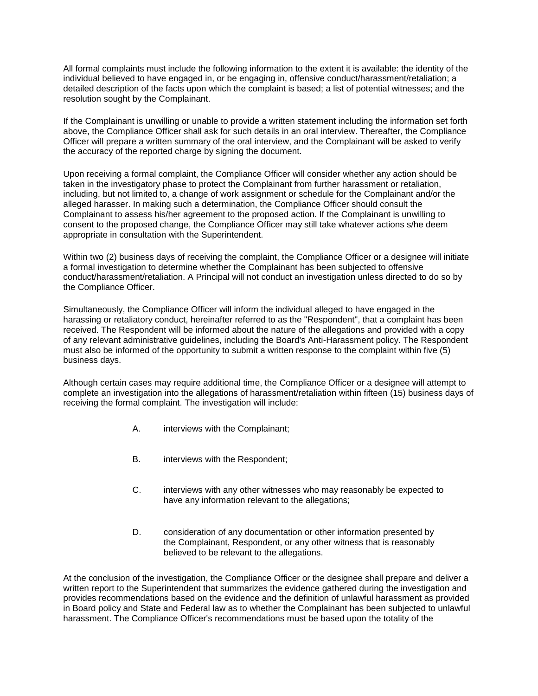All formal complaints must include the following information to the extent it is available: the identity of the individual believed to have engaged in, or be engaging in, offensive conduct/harassment/retaliation; a detailed description of the facts upon which the complaint is based; a list of potential witnesses; and the resolution sought by the Complainant.

If the Complainant is unwilling or unable to provide a written statement including the information set forth above, the Compliance Officer shall ask for such details in an oral interview. Thereafter, the Compliance Officer will prepare a written summary of the oral interview, and the Complainant will be asked to verify the accuracy of the reported charge by signing the document.

Upon receiving a formal complaint, the Compliance Officer will consider whether any action should be taken in the investigatory phase to protect the Complainant from further harassment or retaliation, including, but not limited to, a change of work assignment or schedule for the Complainant and/or the alleged harasser. In making such a determination, the Compliance Officer should consult the Complainant to assess his/her agreement to the proposed action. If the Complainant is unwilling to consent to the proposed change, the Compliance Officer may still take whatever actions s/he deem appropriate in consultation with the Superintendent.

Within two (2) business days of receiving the complaint, the Compliance Officer or a designee will initiate a formal investigation to determine whether the Complainant has been subjected to offensive conduct/harassment/retaliation. A Principal will not conduct an investigation unless directed to do so by the Compliance Officer.

Simultaneously, the Compliance Officer will inform the individual alleged to have engaged in the harassing or retaliatory conduct, hereinafter referred to as the "Respondent", that a complaint has been received. The Respondent will be informed about the nature of the allegations and provided with a copy of any relevant administrative guidelines, including the Board's Anti-Harassment policy. The Respondent must also be informed of the opportunity to submit a written response to the complaint within five (5) business days.

Although certain cases may require additional time, the Compliance Officer or a designee will attempt to complete an investigation into the allegations of harassment/retaliation within fifteen (15) business days of receiving the formal complaint. The investigation will include:

- A. interviews with the Complainant;
- B. interviews with the Respondent;
- C. interviews with any other witnesses who may reasonably be expected to have any information relevant to the allegations;
- D. consideration of any documentation or other information presented by the Complainant, Respondent, or any other witness that is reasonably believed to be relevant to the allegations.

At the conclusion of the investigation, the Compliance Officer or the designee shall prepare and deliver a written report to the Superintendent that summarizes the evidence gathered during the investigation and provides recommendations based on the evidence and the definition of unlawful harassment as provided in Board policy and State and Federal law as to whether the Complainant has been subjected to unlawful harassment. The Compliance Officer's recommendations must be based upon the totality of the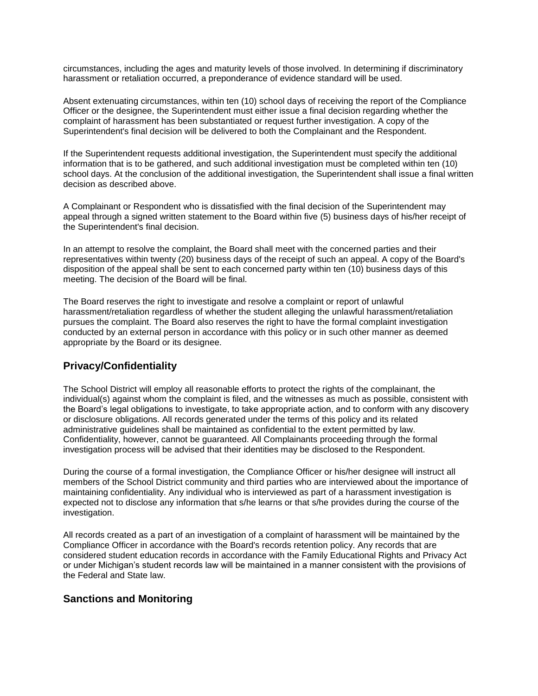circumstances, including the ages and maturity levels of those involved. In determining if discriminatory harassment or retaliation occurred, a preponderance of evidence standard will be used.

Absent extenuating circumstances, within ten (10) school days of receiving the report of the Compliance Officer or the designee, the Superintendent must either issue a final decision regarding whether the complaint of harassment has been substantiated or request further investigation. A copy of the Superintendent's final decision will be delivered to both the Complainant and the Respondent.

If the Superintendent requests additional investigation, the Superintendent must specify the additional information that is to be gathered, and such additional investigation must be completed within ten (10) school days. At the conclusion of the additional investigation, the Superintendent shall issue a final written decision as described above.

A Complainant or Respondent who is dissatisfied with the final decision of the Superintendent may appeal through a signed written statement to the Board within five (5) business days of his/her receipt of the Superintendent's final decision.

In an attempt to resolve the complaint, the Board shall meet with the concerned parties and their representatives within twenty (20) business days of the receipt of such an appeal. A copy of the Board's disposition of the appeal shall be sent to each concerned party within ten (10) business days of this meeting. The decision of the Board will be final.

The Board reserves the right to investigate and resolve a complaint or report of unlawful harassment/retaliation regardless of whether the student alleging the unlawful harassment/retaliation pursues the complaint. The Board also reserves the right to have the formal complaint investigation conducted by an external person in accordance with this policy or in such other manner as deemed appropriate by the Board or its designee.

### **Privacy/Confidentiality**

The School District will employ all reasonable efforts to protect the rights of the complainant, the individual(s) against whom the complaint is filed, and the witnesses as much as possible, consistent with the Board's legal obligations to investigate, to take appropriate action, and to conform with any discovery or disclosure obligations. All records generated under the terms of this policy and its related administrative guidelines shall be maintained as confidential to the extent permitted by law. Confidentiality, however, cannot be guaranteed. All Complainants proceeding through the formal investigation process will be advised that their identities may be disclosed to the Respondent.

During the course of a formal investigation, the Compliance Officer or his/her designee will instruct all members of the School District community and third parties who are interviewed about the importance of maintaining confidentiality. Any individual who is interviewed as part of a harassment investigation is expected not to disclose any information that s/he learns or that s/he provides during the course of the investigation.

All records created as a part of an investigation of a complaint of harassment will be maintained by the Compliance Officer in accordance with the Board's records retention policy. Any records that are considered student education records in accordance with the Family Educational Rights and Privacy Act or under Michigan's student records law will be maintained in a manner consistent with the provisions of the Federal and State law.

#### **Sanctions and Monitoring**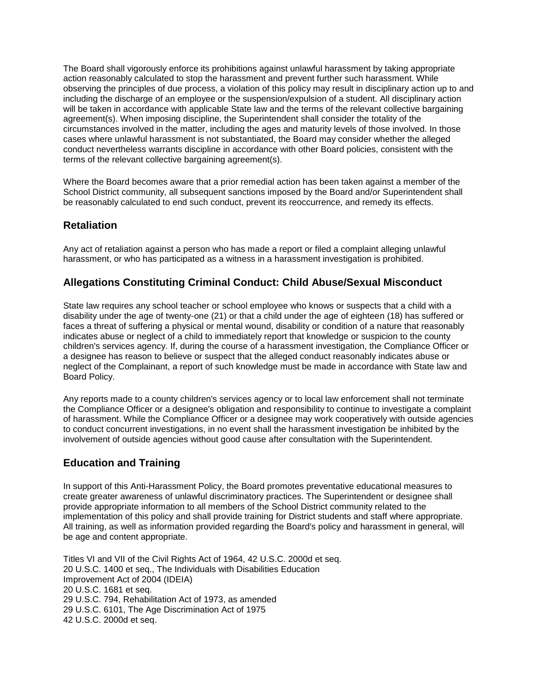The Board shall vigorously enforce its prohibitions against unlawful harassment by taking appropriate action reasonably calculated to stop the harassment and prevent further such harassment. While observing the principles of due process, a violation of this policy may result in disciplinary action up to and including the discharge of an employee or the suspension/expulsion of a student. All disciplinary action will be taken in accordance with applicable State law and the terms of the relevant collective bargaining agreement(s). When imposing discipline, the Superintendent shall consider the totality of the circumstances involved in the matter, including the ages and maturity levels of those involved. In those cases where unlawful harassment is not substantiated, the Board may consider whether the alleged conduct nevertheless warrants discipline in accordance with other Board policies, consistent with the terms of the relevant collective bargaining agreement(s).

Where the Board becomes aware that a prior remedial action has been taken against a member of the School District community, all subsequent sanctions imposed by the Board and/or Superintendent shall be reasonably calculated to end such conduct, prevent its reoccurrence, and remedy its effects.

#### **Retaliation**

Any act of retaliation against a person who has made a report or filed a complaint alleging unlawful harassment, or who has participated as a witness in a harassment investigation is prohibited.

### **Allegations Constituting Criminal Conduct: Child Abuse/Sexual Misconduct**

State law requires any school teacher or school employee who knows or suspects that a child with a disability under the age of twenty-one (21) or that a child under the age of eighteen (18) has suffered or faces a threat of suffering a physical or mental wound, disability or condition of a nature that reasonably indicates abuse or neglect of a child to immediately report that knowledge or suspicion to the county children's services agency. If, during the course of a harassment investigation, the Compliance Officer or a designee has reason to believe or suspect that the alleged conduct reasonably indicates abuse or neglect of the Complainant, a report of such knowledge must be made in accordance with State law and Board Policy.

Any reports made to a county children's services agency or to local law enforcement shall not terminate the Compliance Officer or a designee's obligation and responsibility to continue to investigate a complaint of harassment. While the Compliance Officer or a designee may work cooperatively with outside agencies to conduct concurrent investigations, in no event shall the harassment investigation be inhibited by the involvement of outside agencies without good cause after consultation with the Superintendent.

### **Education and Training**

In support of this Anti-Harassment Policy, the Board promotes preventative educational measures to create greater awareness of unlawful discriminatory practices. The Superintendent or designee shall provide appropriate information to all members of the School District community related to the implementation of this policy and shall provide training for District students and staff where appropriate. All training, as well as information provided regarding the Board's policy and harassment in general, will be age and content appropriate.

Titles VI and VII of the Civil Rights Act of 1964, 42 U.S.C. 2000d et seq. 20 U.S.C. 1400 et seq., The Individuals with Disabilities Education Improvement Act of 2004 (IDEIA) 20 U.S.C. 1681 et seq. 29 U.S.C. 794, Rehabilitation Act of 1973, as amended 29 U.S.C. 6101, The Age Discrimination Act of 1975 42 U.S.C. 2000d et seq.